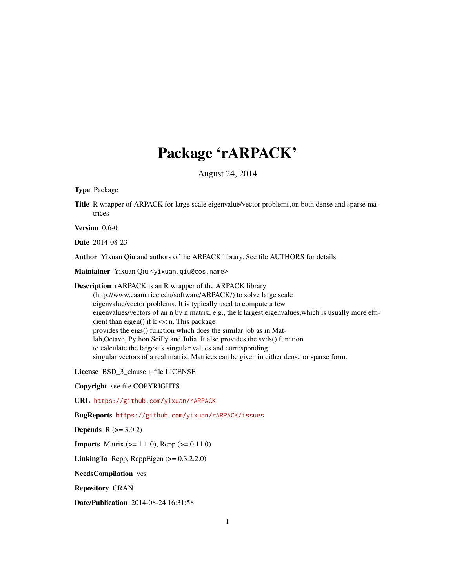# Package 'rARPACK'

August 24, 2014

<span id="page-0-0"></span>Type Package

Title R wrapper of ARPACK for large scale eigenvalue/vector problems,on both dense and sparse matrices

Version 0.6-0

Date 2014-08-23

Author Yixuan Qiu and authors of the ARPACK library. See file AUTHORS for details.

Maintainer Yixuan Qiu <yixuan.qiu@cos.name>

Description rARPACK is an R wrapper of the ARPACK library (http://www.caam.rice.edu/software/ARPACK/) to solve large scale eigenvalue/vector problems. It is typically used to compute a few eigenvalues/vectors of an n by n matrix, e.g., the k largest eigenvalues,which is usually more efficient than eigen() if  $k \ll n$ . This package provides the eigs() function which does the similar job as in Matlab,Octave, Python SciPy and Julia. It also provides the svds() function to calculate the largest k singular values and corresponding singular vectors of a real matrix. Matrices can be given in either dense or sparse form.

License BSD\_3\_clause + file LICENSE

Copyright see file COPYRIGHTS

URL <https://github.com/yixuan/rARPACK>

BugReports <https://github.com/yixuan/rARPACK/issues>

**Depends**  $R (= 3.0.2)$ 

**Imports** Matrix  $(>= 1.1-0)$ , Rcpp  $(>= 0.11.0)$ 

**LinkingTo** Rcpp, RcppEigen  $(>= 0.3.2.2.0)$ 

NeedsCompilation yes

Repository CRAN

Date/Publication 2014-08-24 16:31:58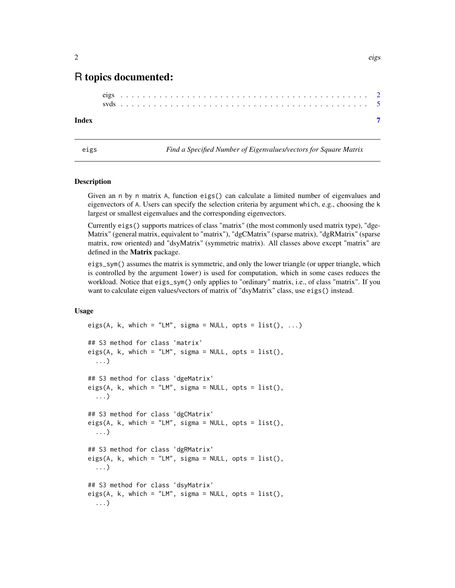# <span id="page-1-0"></span>R topics documented:

#### **Index** [7](#page-6-0)

<span id="page-1-1"></span>eigs *Find a Specified Number of Eigenvalues/vectors for Square Matrix*

#### Description

Given an n by n matrix A, function eigs() can calculate a limited number of eigenvalues and eigenvectors of A. Users can specify the selection criteria by argument which, e.g., choosing the k largest or smallest eigenvalues and the corresponding eigenvectors.

Currently eigs() supports matrices of class "matrix" (the most commonly used matrix type), "dge-Matrix" (general matrix, equivalent to "matrix"), "dgCMatrix" (sparse matrix), "dgRMatrix" (sparse matrix, row oriented) and "dsyMatrix" (symmetric matrix). All classes above except "matrix" are defined in the Matrix package.

eigs\_sym() assumes the matrix is symmetric, and only the lower triangle (or upper triangle, which is controlled by the argument lower) is used for computation, which in some cases reduces the workload. Notice that eigs\_sym() only applies to "ordinary" matrix, i.e., of class "matrix". If you want to calculate eigen values/vectors of matrix of "dsyMatrix" class, use eigs() instead.

#### Usage

```
eigs(A, k, which = "LM", sigma = NULL, opts = list(), ...)
## S3 method for class 'matrix'
eigs(A, k, which = "LM", sigma = NULL, opts = list(),
  ...)
## S3 method for class 'dgeMatrix'
eigs(A, k, which = "LM", sigma = NULL, opts = list(),
  ...)
## S3 method for class 'dgCMatrix'
eigs(A, k, which = "LM", sigma = NULL, opts = list(),
  ...)
## S3 method for class 'dgRMatrix'
eigs(A, k, which = "LM", sigma = NULL, opts = list(),
  ...)
## S3 method for class 'dsyMatrix'
eigs(A, k, which = "LM", sigma = NULL, opts = list(),
  ...)
```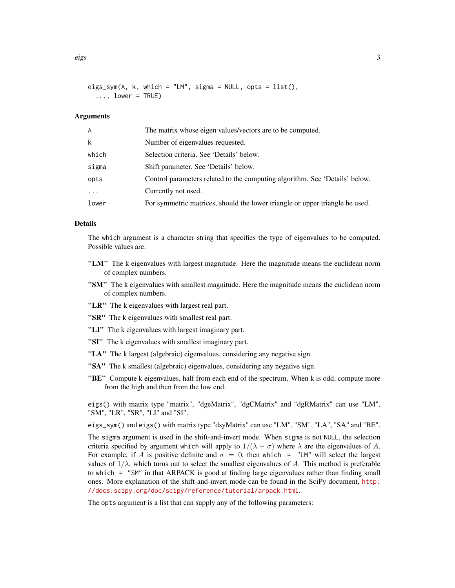eigs\_sym(A, k, which = "LM", sigma = NULL, opts =  $list()$ ,  $\ldots$ , lower = TRUE)

#### Arguments

| A        | The matrix whose eigen values/vectors are to be computed.                    |
|----------|------------------------------------------------------------------------------|
| k        | Number of eigenvalues requested.                                             |
| which    | Selection criteria. See 'Details' below.                                     |
| sigma    | Shift parameter. See 'Details' below.                                        |
| opts     | Control parameters related to the computing algorithm. See 'Details' below.  |
| $\cdots$ | Currently not used.                                                          |
| lower    | For symmetric matrices, should the lower triangle or upper triangle be used. |

#### Details

The which argument is a character string that specifies the type of eigenvalues to be computed. Possible values are:

- "LM" The k eigenvalues with largest magnitude. Here the magnitude means the euclidean norm of complex numbers.
- "SM" The k eigenvalues with smallest magnitude. Here the magnitude means the euclidean norm of complex numbers.
- "LR" The k eigenvalues with largest real part.
- "SR" The k eigenvalues with smallest real part.
- "LI" The k eigenvalues with largest imaginary part.
- "SI" The k eigenvalues with smallest imaginary part.
- "LA" The k largest (algebraic) eigenvalues, considering any negative sign.
- "SA" The k smallest (algebraic) eigenvalues, considering any negative sign.
- "BE" Compute k eigenvalues, half from each end of the spectrum. When k is odd, compute more from the high and then from the low end.

eigs() with matrix type "matrix", "dgeMatrix", "dgCMatrix" and "dgRMatrix" can use "LM", "SM", "LR", "SR", "LI" and "SI".

eigs\_sym() and eigs() with matrix type "dsyMatrix" can use "LM", "SM", "LA", "SA" and "BE".

The sigma argument is used in the shift-and-invert mode. When sigma is not NULL, the selection criteria specified by argument which will apply to  $1/(\lambda - \sigma)$  where  $\lambda$  are the eigenvalues of A. For example, if A is positive definite and  $\sigma = 0$ , then which = "LM" will select the largest values of  $1/\lambda$ , which turns out to select the smallest eigenvalues of A. This method is preferable to which = "SM" in that ARPACK is good at finding large eigenvalues rather than finding small ones. More explanation of the shift-and-invert mode can be found in the SciPy document, [http:](http://docs.scipy.org/doc/scipy/reference/tutorial/arpack.html) [//docs.scipy.org/doc/scipy/reference/tutorial/arpack.html](http://docs.scipy.org/doc/scipy/reference/tutorial/arpack.html).

The opts argument is a list that can supply any of the following parameters: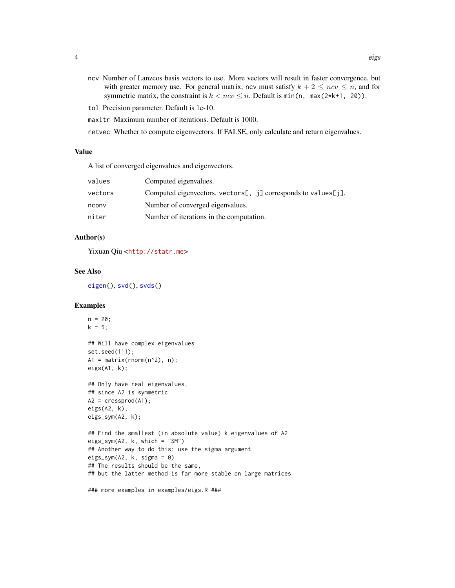- <span id="page-3-0"></span>ncv Number of Lanzcos basis vectors to use. More vectors will result in faster convergence, but with greater memory use. For general matrix, ncv must satisfy  $k + 2 \leq ncv \leq n$ , and for symmetric matrix, the constraint is  $k < ncv \le n$ . Default is min(n, max(2\*k+1, 20)).
- tol Precision parameter. Default is 1e-10.
- maxitr Maximum number of iterations. Default is 1000.
- retvec Whether to compute eigenvectors. If FALSE, only calculate and return eigenvalues.

# Value

A list of converged eigenvalues and eigenvectors.

| values  | Computed eigenvalues.                                                 |
|---------|-----------------------------------------------------------------------|
| vectors | Computed eigenvectors. vectors $[ , j]$ corresponds to values $[j]$ . |
| nconv   | Number of converged eigenvalues.                                      |
| niter   | Number of iterations in the computation.                              |
|         |                                                                       |

# Author(s)

Yixuan Qiu <<http://statr.me>>

## See Also

[eigen\(](#page-0-0)), [svd\(](#page-0-0)), [svds\(](#page-4-1))

# **Examples**

```
n = 20;k = 5;## Will have complex eigenvalues
set.seed(111);
A1 = matrix(rnorm(n^2), n);eigs(A1, k);
## Only have real eigenvalues,
## since A2 is symmetric
A2 = crossprod(A1);
eigs(A2, k);
eigs_sym(A2, k);
## Find the smallest (in absolute value) k eigenvalues of A2
eigs_sym(A2, k, which = "SM")
## Another way to do this: use the sigma argument
eigs_sym(A2, k, sigma = 0)
## The results should be the same,
## but the latter method is far more stable on large matrices
```
### more examples in examples/eigs.R ###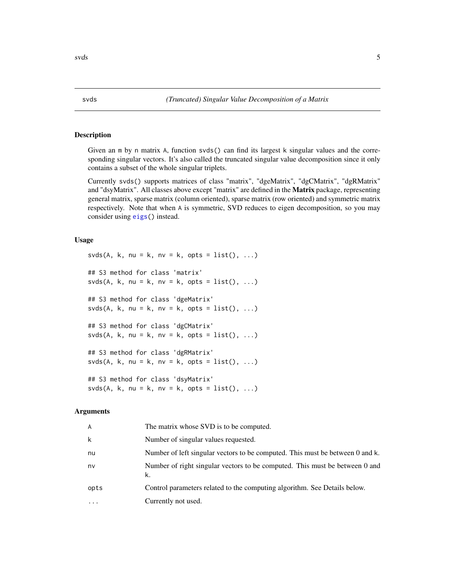# Description

Given an m by n matrix A, function svds() can find its largest k singular values and the corresponding singular vectors. It's also called the truncated singular value decomposition since it only contains a subset of the whole singular triplets.

Currently svds() supports matrices of class "matrix", "dgeMatrix", "dgCMatrix", "dgRMatrix" and "dsyMatrix". All classes above except "matrix" are defined in the **Matrix** package, representing general matrix, sparse matrix (column oriented), sparse matrix (row oriented) and symmetric matrix respectively. Note that when A is symmetric, SVD reduces to eigen decomposition, so you may consider using [eigs\(](#page-1-1)) instead.

#### Usage

 $s\nu ds(A, k, nu = k, nv = k, opts = list(), ...)$ ## S3 method for class 'matrix'  $s\nu ds(A, k, nu = k, nv = k, opts = list(), ...)$ ## S3 method for class 'dgeMatrix' svds(A, k, nu = k, nv = k, opts =  $list()$ , ...) ## S3 method for class 'dgCMatrix' svds(A, k, nu = k, nv = k, opts =  $list()$ , ...) ## S3 method for class 'dgRMatrix' svds(A, k, nu = k, nv = k, opts =  $list()$ , ...) ## S3 method for class 'dsyMatrix'  $s\nu ds(A, k, nu = k, nv = k, opts = list(), ...)$ 

#### Arguments

| A         | The matrix whose SVD is to be computed.                                           |
|-----------|-----------------------------------------------------------------------------------|
| k         | Number of singular values requested.                                              |
| nu        | Number of left singular vectors to be computed. This must be between 0 and k.     |
| nv        | Number of right singular vectors to be computed. This must be between 0 and<br>k. |
| opts      | Control parameters related to the computing algorithm. See Details below.         |
| $\ddotsc$ | Currently not used.                                                               |
|           |                                                                                   |

<span id="page-4-1"></span><span id="page-4-0"></span>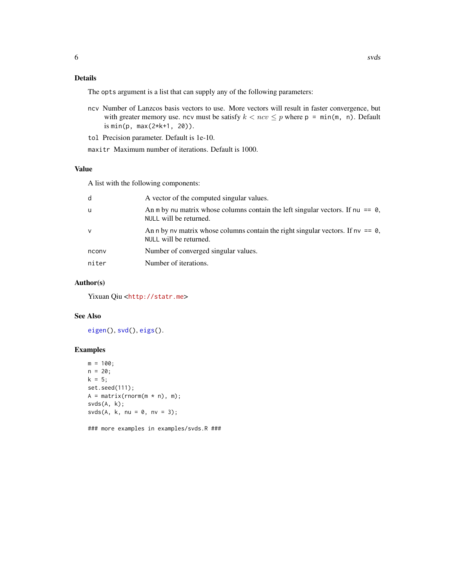## <span id="page-5-0"></span>Details

The opts argument is a list that can supply any of the following parameters:

- ncv Number of Lanzcos basis vectors to use. More vectors will result in faster convergence, but with greater memory use. ncv must be satisfy  $k < ncv \leq p$  where  $p = min(m, n)$ . Default is min(p, max(2\*k+1, 20)).
- tol Precision parameter. Default is 1e-10.
- maxitr Maximum number of iterations. Default is 1000.

#### Value

A list with the following components:

| d<br>A vector of the computed singular values.                                                                    |  |
|-------------------------------------------------------------------------------------------------------------------|--|
| An m by nu matrix whose columns contain the left singular vectors. If nu $== 0$ ,<br>u<br>NULL will be returned.  |  |
| An n by nv matrix whose columns contain the right singular vectors. If $nv == 0$ ,<br>v<br>NULL will be returned. |  |
| Number of converged singular values.<br>nconv                                                                     |  |
| niter<br>Number of iterations.                                                                                    |  |

# Author(s)

Yixuan Qiu <<http://statr.me>>

# See Also

[eigen\(](#page-0-0)), [svd\(](#page-0-0)), [eigs\(](#page-1-1)).

## Examples

```
m = 100;n = 20;k = 5;set.seed(111);
A = matrix(rnorm(m * n), m);svds(A, k);
s\nu ds(A, k, nu = 0, nv = 3);
```
### more examples in examples/svds.R ###